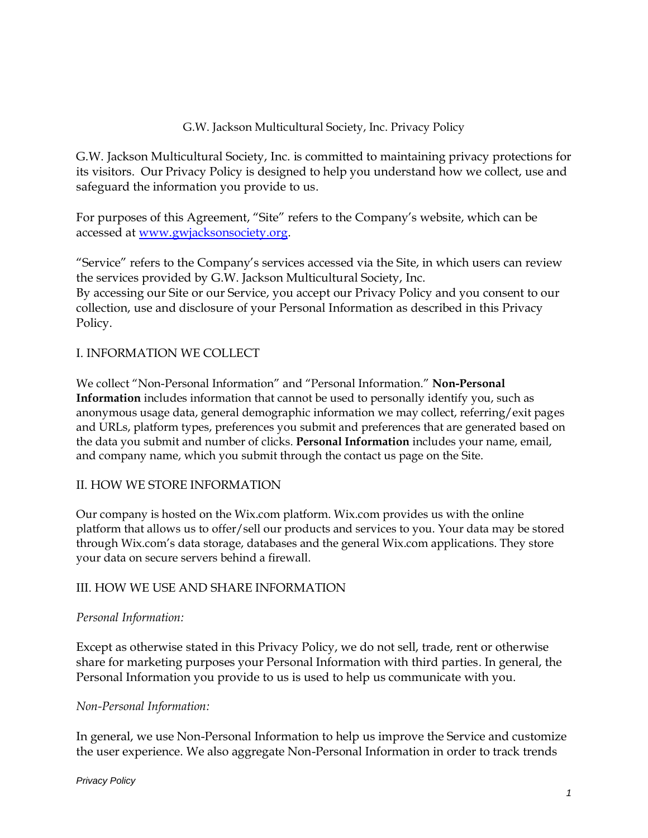#### G.W. Jackson Multicultural Society, Inc. Privacy Policy

G.W. Jackson Multicultural Society, Inc. is committed to maintaining privacy protections for its visitors. Our Privacy Policy is designed to help you understand how we collect, use and safeguard the information you provide to us.

For purposes of this Agreement, "Site" refers to the Company's website, which can be accessed at [www.gwjacksonsociety.org.](http://www.gwjacksonsociety.org/)

"Service" refers to the Company's services accessed via the Site, in which users can review the services provided by G.W. Jackson Multicultural Society, Inc. By accessing our Site or our Service, you accept our Privacy Policy and you consent to our collection, use and disclosure of your Personal Information as described in this Privacy Policy.

## I. INFORMATION WE COLLECT

We collect "Non-Personal Information" and "Personal Information." **Non-Personal Information** includes information that cannot be used to personally identify you, such as anonymous usage data, general demographic information we may collect, referring/exit pages and URLs, platform types, preferences you submit and preferences that are generated based on the data you submit and number of clicks. **Personal Information** includes your name, email, and company name, which you submit through the contact us page on the Site.

## II. HOW WE STORE INFORMATION

Our company is hosted on the Wix.com platform. Wix.com provides us with the online platform that allows us to offer/sell our products and services to you. Your data may be stored through Wix.com's data storage, databases and the general Wix.com applications. They store your data on secure servers behind a firewall.

## III. HOW WE USE AND SHARE INFORMATION

#### *Personal Information:*

Except as otherwise stated in this Privacy Policy, we do not sell, trade, rent or otherwise share for marketing purposes your Personal Information with third parties. In general, the Personal Information you provide to us is used to help us communicate with you.

#### *Non-Personal Information:*

In general, we use Non-Personal Information to help us improve the Service and customize the user experience. We also aggregate Non-Personal Information in order to track trends